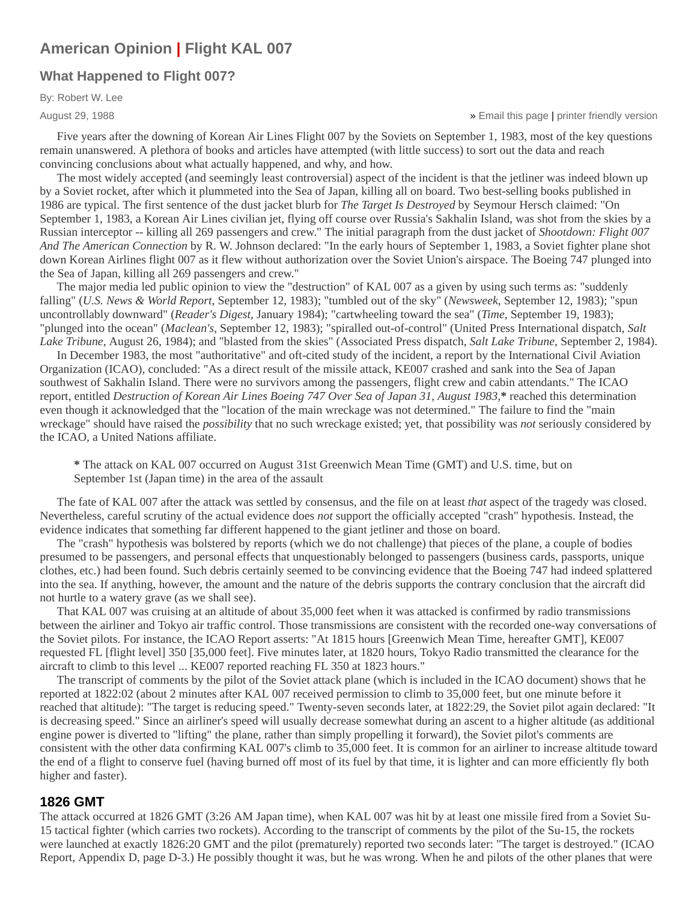# **[American Opinion](http://web.archive.org/web/20071025215219/http://www.thenewamerican.com/taxonomy/term/99) | [Flight KAL 007](http://web.archive.org/web/20071025215219/http://www.thenewamerican.com/taxonomy/term/50)**

# **[What Happened to Flight 007?](http://web.archive.org/web/20071025215219/http://www.thenewamerican.com/node/392)**

By: Robert W. Lee

August 29, 1988

» [Email this page](http://web.archive.org/web/20071025215219/mailto:/?subject=JBS.org%3A%20What%20Happened%20to%20Flight%20007%3F&body=What%20Happened%20to%20Flight%20007%3F%0A%0AFive%20years%20after%20the%20downing%20of%20Korean%20Air%20Lines%20Flight%20007%20by%20the%20Soviets%20on%20September%201%2C%201983%2C%20most%20of%20the%20key%20questions%20remain%20unanswered%0A%0Dhttp%3A%2F%2Fthenewamerican.com%2Fnode%2F392) | [printer friendly version](http://web.archive.org/web/20071025215219/http://www.thenewamerican.com/node/392/print)

Five years after the downing of Korean Air Lines Flight 007 by the Soviets on September 1, 1983, most of the key questions remain unanswered. A plethora of books and articles have attempted (with little success) to sort out the data and reach convincing conclusions about what actually happened, and why, and how.

The most widely accepted (and seemingly least controversial) aspect of the incident is that the jetliner was indeed blown up by a Soviet rocket, after which it plummeted into the Sea of Japan, killing all on board. Two best-selling books published in 1986 are typical. The first sentence of the dust jacket blurb for *The Target Is Destroyed* by Seymour Hersch claimed: "On September 1, 1983, a Korean Air Lines civilian jet, flying off course over Russia's Sakhalin Island, was shot from the skies by a Russian interceptor -- killing all 269 passengers and crew." The initial paragraph from the dust jacket of *Shootdown: Flight 007 And The American Connection* by R. W. Johnson declared: "In the early hours of September 1, 1983, a Soviet fighter plane shot down Korean Airlines flight 007 as it flew without authorization over the Soviet Union's airspace. The Boeing 747 plunged into the Sea of Japan, killing all 269 passengers and crew."

The major media led public opinion to view the "destruction" of KAL 007 as a given by using such terms as: "suddenly falling" (*U.S. News & World Report*, September 12, 1983); "tumbled out of the sky" (*Newsweek*, September 12, 1983); "spun uncontrollably downward" (*Reader's Digest*, January 1984); "cartwheeling toward the sea" (*Time*, September 19, 1983); "plunged into the ocean" (*Maclean's*, September 12, 1983); "spiralled out-of-control" (United Press International dispatch, *Salt Lake Tribune*, August 26, 1984); and "blasted from the skies" (Associated Press dispatch, *Salt Lake Tribune*, September 2, 1984).

In December 1983, the most "authoritative" and oft-cited study of the incident, a report by the International Civil Aviation Organization (ICAO), concluded: "As a direct result of the missile attack, KE007 crashed and sank into the Sea of Japan southwest of Sakhalin Island. There were no survivors among the passengers, flight crew and cabin attendants." The ICAO report, entitled *Destruction of Korean Air Lines Boeing 747 Over Sea of Japan 31, August 1983*,**\*** reached this determination even though it acknowledged that the "location of the main wreckage was not determined." The failure to find the "main wreckage" should have raised the *possibility* that no such wreckage existed; yet, that possibility was *not* seriously considered by the ICAO, a United Nations affiliate.

**\*** The attack on KAL 007 occurred on August 31st Greenwich Mean Time (GMT) and U.S. time, but on September 1st (Japan time) in the area of the assault

The fate of KAL 007 after the attack was settled by consensus, and the file on at least *that* aspect of the tragedy was closed. Nevertheless, careful scrutiny of the actual evidence does *not* support the officially accepted "crash" hypothesis. Instead, the evidence indicates that something far different happened to the giant jetliner and those on board.

The "crash" hypothesis was bolstered by reports (which we do not challenge) that pieces of the plane, a couple of bodies presumed to be passengers, and personal effects that unquestionably belonged to passengers (business cards, passports, unique clothes, etc.) had been found. Such debris certainly seemed to be convincing evidence that the Boeing 747 had indeed splattered into the sea. If anything, however, the amount and the nature of the debris supports the contrary conclusion that the aircraft did not hurtle to a watery grave (as we shall see).

That KAL 007 was cruising at an altitude of about 35,000 feet when it was attacked is confirmed by radio transmissions between the airliner and Tokyo air traffic control. Those transmissions are consistent with the recorded one-way conversations of the Soviet pilots. For instance, the ICAO Report asserts: "At 1815 hours [Greenwich Mean Time, hereafter GMT], KE007 requested FL [flight level] 350 [35,000 feet]. Five minutes later, at 1820 hours, Tokyo Radio transmitted the clearance for the aircraft to climb to this level ... KE007 reported reaching FL 350 at 1823 hours."

The transcript of comments by the pilot of the Soviet attack plane (which is included in the ICAO document) shows that he reported at 1822:02 (about 2 minutes after KAL 007 received permission to climb to 35,000 feet, but one minute before it reached that altitude): "The target is reducing speed." Twenty-seven seconds later, at 1822:29, the Soviet pilot again declared: "It is decreasing speed." Since an airliner's speed will usually decrease somewhat during an ascent to a higher altitude (as additional engine power is diverted to "lifting" the plane, rather than simply propelling it forward), the Soviet pilot's comments are consistent with the other data confirming KAL 007's climb to 35,000 feet. It is common for an airliner to increase altitude toward the end of a flight to conserve fuel (having burned off most of its fuel by that time, it is lighter and can more efficiently fly both higher and faster).

# **1826 GMT**

The attack occurred at 1826 GMT (3:26 AM Japan time), when KAL 007 was hit by at least one missile fired from a Soviet Su-15 tactical fighter (which carries two rockets). According to the transcript of comments by the pilot of the Su-15, the rockets were launched at exactly 1826:20 GMT and the pilot (prematurely) reported two seconds later: "The target is destroyed." (ICAO Report, Appendix D, page D-3.) He possibly thought it was, but he was wrong. When he and pilots of the other planes that were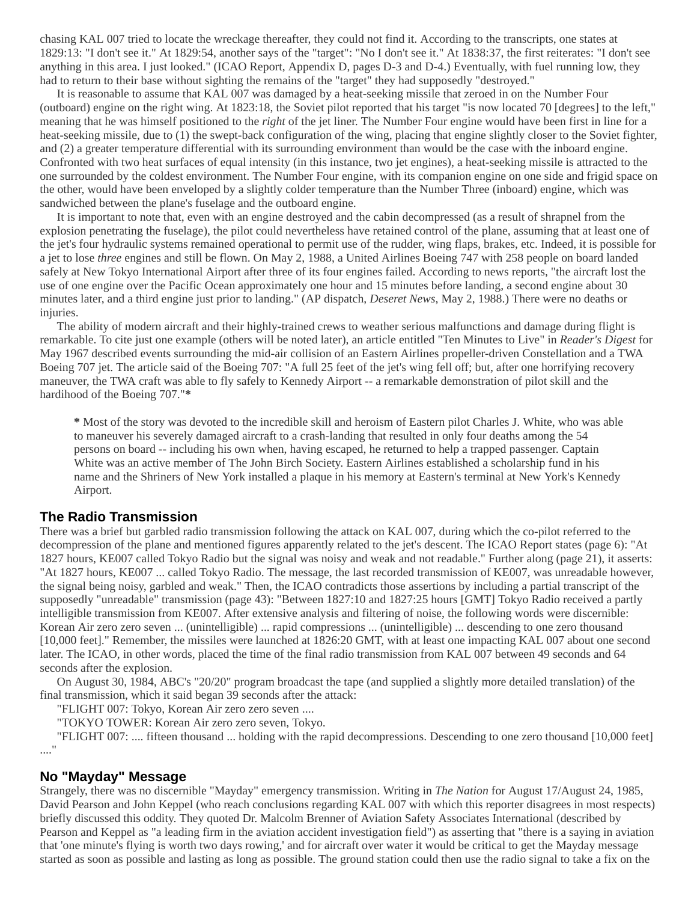chasing KAL 007 tried to locate the wreckage thereafter, they could not find it. According to the transcripts, one states at 1829:13: "I don't see it." At 1829:54, another says of the "target": "No I don't see it." At 1838:37, the first reiterates: "I don't see anything in this area. I just looked." (ICAO Report, Appendix D, pages D-3 and D-4.) Eventually, with fuel running low, they had to return to their base without sighting the remains of the "target" they had supposedly "destroyed."

It is reasonable to assume that KAL 007 was damaged by a heat-seeking missile that zeroed in on the Number Four (outboard) engine on the right wing. At 1823:18, the Soviet pilot reported that his target "is now located 70 [degrees] to the left," meaning that he was himself positioned to the *right* of the jet liner. The Number Four engine would have been first in line for a heat-seeking missile, due to (1) the swept-back configuration of the wing, placing that engine slightly closer to the Soviet fighter, and (2) a greater temperature differential with its surrounding environment than would be the case with the inboard engine. Confronted with two heat surfaces of equal intensity (in this instance, two jet engines), a heat-seeking missile is attracted to the one surrounded by the coldest environment. The Number Four engine, with its companion engine on one side and frigid space on the other, would have been enveloped by a slightly colder temperature than the Number Three (inboard) engine, which was sandwiched between the plane's fuselage and the outboard engine.

It is important to note that, even with an engine destroyed and the cabin decompressed (as a result of shrapnel from the explosion penetrating the fuselage), the pilot could nevertheless have retained control of the plane, assuming that at least one of the jet's four hydraulic systems remained operational to permit use of the rudder, wing flaps, brakes, etc. Indeed, it is possible for a jet to lose *three* engines and still be flown. On May 2, 1988, a United Airlines Boeing 747 with 258 people on board landed safely at New Tokyo International Airport after three of its four engines failed. According to news reports, "the aircraft lost the use of one engine over the Pacific Ocean approximately one hour and 15 minutes before landing, a second engine about 30 minutes later, and a third engine just prior to landing." (AP dispatch, *Deseret News*, May 2, 1988.) There were no deaths or injuries.

The ability of modern aircraft and their highly-trained crews to weather serious malfunctions and damage during flight is remarkable. To cite just one example (others will be noted later), an article entitled "Ten Minutes to Live" in *Reader's Digest* for May 1967 described events surrounding the mid-air collision of an Eastern Airlines propeller-driven Constellation and a TWA Boeing 707 jet. The article said of the Boeing 707: "A full 25 feet of the jet's wing fell off; but, after one horrifying recovery maneuver, the TWA craft was able to fly safely to Kennedy Airport -- a remarkable demonstration of pilot skill and the hardihood of the Boeing 707."**\***

**\*** Most of the story was devoted to the incredible skill and heroism of Eastern pilot Charles J. White, who was able to maneuver his severely damaged aircraft to a crash-landing that resulted in only four deaths among the 54 persons on board -- including his own when, having escaped, he returned to help a trapped passenger. Captain White was an active member of The John Birch Society. Eastern Airlines established a scholarship fund in his name and the Shriners of New York installed a plaque in his memory at Eastern's terminal at New York's Kennedy Airport.

# **The Radio Transmission**

There was a brief but garbled radio transmission following the attack on KAL 007, during which the co-pilot referred to the decompression of the plane and mentioned figures apparently related to the jet's descent. The ICAO Report states (page 6): "At 1827 hours, KE007 called Tokyo Radio but the signal was noisy and weak and not readable." Further along (page 21), it asserts: "At 1827 hours, KE007 ... called Tokyo Radio. The message, the last recorded transmission of KE007, was unreadable however, the signal being noisy, garbled and weak." Then, the ICAO contradicts those assertions by including a partial transcript of the supposedly "unreadable" transmission (page 43): "Between 1827:10 and 1827:25 hours [GMT] Tokyo Radio received a partly intelligible transmission from KE007. After extensive analysis and filtering of noise, the following words were discernible: Korean Air zero zero seven ... (unintelligible) ... rapid compressions ... (unintelligible) ... descending to one zero thousand [10,000 feet]." Remember, the missiles were launched at 1826:20 GMT, with at least one impacting KAL 007 about one second later. The ICAO, in other words, placed the time of the final radio transmission from KAL 007 between 49 seconds and 64 seconds after the explosion.

On August 30, 1984, ABC's "20/20" program broadcast the tape (and supplied a slightly more detailed translation) of the final transmission, which it said began 39 seconds after the attack:

"FLIGHT 007: Tokyo, Korean Air zero zero seven ....

"TOKYO TOWER: Korean Air zero zero seven, Tokyo.

"FLIGHT 007: .... fifteen thousand ... holding with the rapid decompressions. Descending to one zero thousand [10,000 feet] ...."

### **No "Mayday" Message**

Strangely, there was no discernible "Mayday" emergency transmission. Writing in *The Nation* for August 17/August 24, 1985, David Pearson and John Keppel (who reach conclusions regarding KAL 007 with which this reporter disagrees in most respects) briefly discussed this oddity. They quoted Dr. Malcolm Brenner of Aviation Safety Associates International (described by Pearson and Keppel as "a leading firm in the aviation accident investigation field") as asserting that "there is a saying in aviation that 'one minute's flying is worth two days rowing,' and for aircraft over water it would be critical to get the Mayday message started as soon as possible and lasting as long as possible. The ground station could then use the radio signal to take a fix on the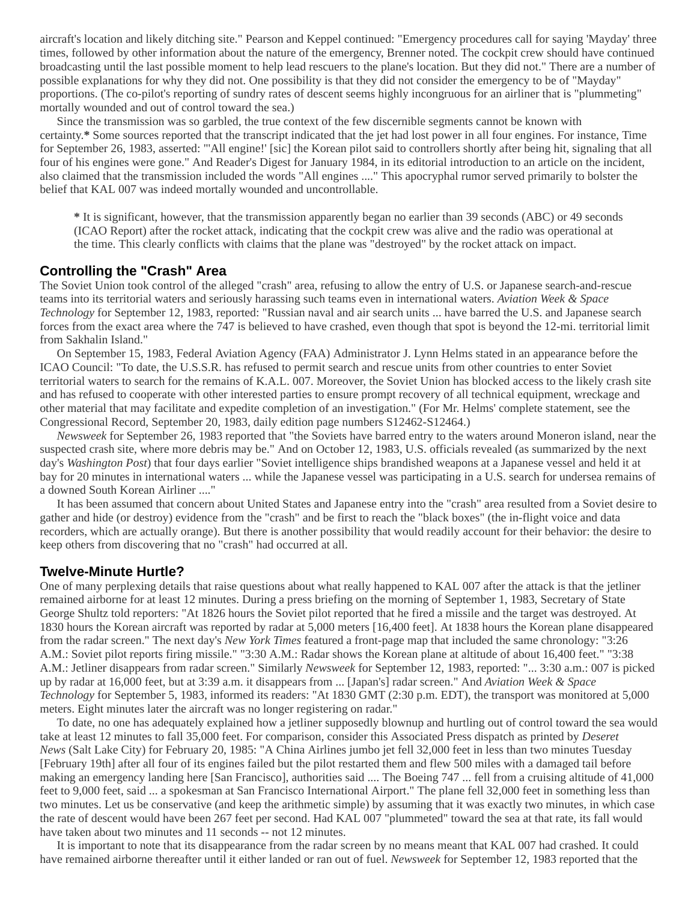aircraft's location and likely ditching site." Pearson and Keppel continued: "Emergency procedures call for saying 'Mayday' three times, followed by other information about the nature of the emergency, Brenner noted. The cockpit crew should have continued broadcasting until the last possible moment to help lead rescuers to the plane's location. But they did not." There are a number of possible explanations for why they did not. One possibility is that they did not consider the emergency to be of "Mayday" proportions. (The co-pilot's reporting of sundry rates of descent seems highly incongruous for an airliner that is "plummeting" mortally wounded and out of control toward the sea.)

Since the transmission was so garbled, the true context of the few discernible segments cannot be known with certainty.**\*** Some sources reported that the transcript indicated that the jet had lost power in all four engines. For instance, Time for September 26, 1983, asserted: "'All engine!' [sic] the Korean pilot said to controllers shortly after being hit, signaling that all four of his engines were gone." And Reader's Digest for January 1984, in its editorial introduction to an article on the incident, also claimed that the transmission included the words "All engines ...." This apocryphal rumor served primarily to bolster the belief that KAL 007 was indeed mortally wounded and uncontrollable.

**\*** It is significant, however, that the transmission apparently began no earlier than 39 seconds (ABC) or 49 seconds (ICAO Report) after the rocket attack, indicating that the cockpit crew was alive and the radio was operational at the time. This clearly conflicts with claims that the plane was "destroyed" by the rocket attack on impact.

#### **Controlling the "Crash" Area**

The Soviet Union took control of the alleged "crash" area, refusing to allow the entry of U.S. or Japanese search-and-rescue teams into its territorial waters and seriously harassing such teams even in international waters. *Aviation Week & Space Technology* for September 12, 1983, reported: "Russian naval and air search units ... have barred the U.S. and Japanese search forces from the exact area where the 747 is believed to have crashed, even though that spot is beyond the 12-mi. territorial limit from Sakhalin Island."

On September 15, 1983, Federal Aviation Agency (FAA) Administrator J. Lynn Helms stated in an appearance before the ICAO Council: "To date, the U.S.S.R. has refused to permit search and rescue units from other countries to enter Soviet territorial waters to search for the remains of K.A.L. 007. Moreover, the Soviet Union has blocked access to the likely crash site and has refused to cooperate with other interested parties to ensure prompt recovery of all technical equipment, wreckage and other material that may facilitate and expedite completion of an investigation." (For Mr. Helms' complete statement, see the Congressional Record, September 20, 1983, daily edition page numbers S12462-S12464.)

*Newsweek* for September 26, 1983 reported that "the Soviets have barred entry to the waters around Moneron island, near the suspected crash site, where more debris may be." And on October 12, 1983, U.S. officials revealed (as summarized by the next day's *Washington Post*) that four days earlier "Soviet intelligence ships brandished weapons at a Japanese vessel and held it at bay for 20 minutes in international waters ... while the Japanese vessel was participating in a U.S. search for undersea remains of a downed South Korean Airliner ...."

It has been assumed that concern about United States and Japanese entry into the "crash" area resulted from a Soviet desire to gather and hide (or destroy) evidence from the "crash" and be first to reach the "black boxes" (the in-flight voice and data recorders, which are actually orange). But there is another possibility that would readily account for their behavior: the desire to keep others from discovering that no "crash" had occurred at all.

# **Twelve-Minute Hurtle?**

One of many perplexing details that raise questions about what really happened to KAL 007 after the attack is that the jetliner remained airborne for at least 12 minutes. During a press briefing on the morning of September 1, 1983, Secretary of State George Shultz told reporters: "At 1826 hours the Soviet pilot reported that he fired a missile and the target was destroyed. At 1830 hours the Korean aircraft was reported by radar at 5,000 meters [16,400 feet]. At 1838 hours the Korean plane disappeared from the radar screen." The next day's *New York Times* featured a front-page map that included the same chronology: "3:26 A.M.: Soviet pilot reports firing missile." "3:30 A.M.: Radar shows the Korean plane at altitude of about 16,400 feet." "3:38 A.M.: Jetliner disappears from radar screen." Similarly *Newsweek* for September 12, 1983, reported: "... 3:30 a.m.: 007 is picked up by radar at 16,000 feet, but at 3:39 a.m. it disappears from ... [Japan's] radar screen." And *Aviation Week & Space Technology* for September 5, 1983, informed its readers: "At 1830 GMT (2:30 p.m. EDT), the transport was monitored at 5,000 meters. Eight minutes later the aircraft was no longer registering on radar."

To date, no one has adequately explained how a jetliner supposedly blownup and hurtling out of control toward the sea would take at least 12 minutes to fall 35,000 feet. For comparison, consider this Associated Press dispatch as printed by *Deseret News* (Salt Lake City) for February 20, 1985: "A China Airlines jumbo jet fell 32,000 feet in less than two minutes Tuesday [February 19th] after all four of its engines failed but the pilot restarted them and flew 500 miles with a damaged tail before making an emergency landing here [San Francisco], authorities said .... The Boeing 747 ... fell from a cruising altitude of 41,000 feet to 9,000 feet, said ... a spokesman at San Francisco International Airport." The plane fell 32,000 feet in something less than two minutes. Let us be conservative (and keep the arithmetic simple) by assuming that it was exactly two minutes, in which case the rate of descent would have been 267 feet per second. Had KAL 007 "plummeted" toward the sea at that rate, its fall would have taken about two minutes and 11 seconds -- not 12 minutes.

It is important to note that its disappearance from the radar screen by no means meant that KAL 007 had crashed. It could have remained airborne thereafter until it either landed or ran out of fuel. *Newsweek* for September 12, 1983 reported that the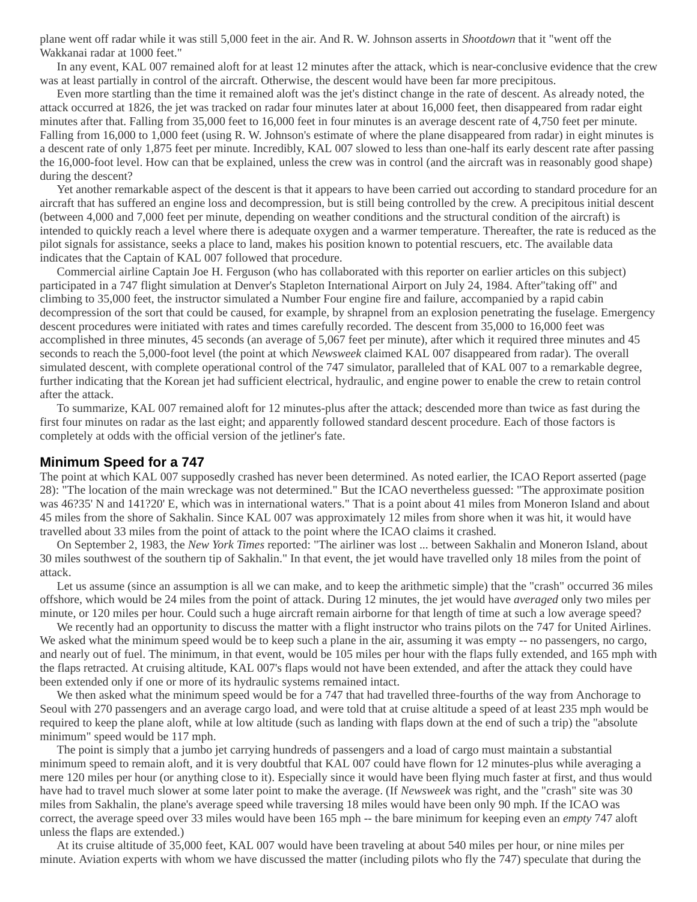plane went off radar while it was still 5,000 feet in the air. And R. W. Johnson asserts in *Shootdown* that it "went off the Wakkanai radar at 1000 feet."

In any event, KAL 007 remained aloft for at least 12 minutes after the attack, which is near-conclusive evidence that the crew was at least partially in control of the aircraft. Otherwise, the descent would have been far more precipitous.

Even more startling than the time it remained aloft was the jet's distinct change in the rate of descent. As already noted, the attack occurred at 1826, the jet was tracked on radar four minutes later at about 16,000 feet, then disappeared from radar eight minutes after that. Falling from 35,000 feet to 16,000 feet in four minutes is an average descent rate of 4,750 feet per minute. Falling from 16,000 to 1,000 feet (using R. W. Johnson's estimate of where the plane disappeared from radar) in eight minutes is a descent rate of only 1,875 feet per minute. Incredibly, KAL 007 slowed to less than one-half its early descent rate after passing the 16,000-foot level. How can that be explained, unless the crew was in control (and the aircraft was in reasonably good shape) during the descent?

Yet another remarkable aspect of the descent is that it appears to have been carried out according to standard procedure for an aircraft that has suffered an engine loss and decompression, but is still being controlled by the crew. A precipitous initial descent (between 4,000 and 7,000 feet per minute, depending on weather conditions and the structural condition of the aircraft) is intended to quickly reach a level where there is adequate oxygen and a warmer temperature. Thereafter, the rate is reduced as the pilot signals for assistance, seeks a place to land, makes his position known to potential rescuers, etc. The available data indicates that the Captain of KAL 007 followed that procedure.

Commercial airline Captain Joe H. Ferguson (who has collaborated with this reporter on earlier articles on this subject) participated in a 747 flight simulation at Denver's Stapleton International Airport on July 24, 1984. After"taking off" and climbing to 35,000 feet, the instructor simulated a Number Four engine fire and failure, accompanied by a rapid cabin decompression of the sort that could be caused, for example, by shrapnel from an explosion penetrating the fuselage. Emergency descent procedures were initiated with rates and times carefully recorded. The descent from 35,000 to 16,000 feet was accomplished in three minutes, 45 seconds (an average of 5,067 feet per minute), after which it required three minutes and 45 seconds to reach the 5,000-foot level (the point at which *Newsweek* claimed KAL 007 disappeared from radar). The overall simulated descent, with complete operational control of the 747 simulator, paralleled that of KAL 007 to a remarkable degree, further indicating that the Korean jet had sufficient electrical, hydraulic, and engine power to enable the crew to retain control after the attack.

To summarize, KAL 007 remained aloft for 12 minutes-plus after the attack; descended more than twice as fast during the first four minutes on radar as the last eight; and apparently followed standard descent procedure. Each of those factors is completely at odds with the official version of the jetliner's fate.

### **Minimum Speed for a 747**

The point at which KAL 007 supposedly crashed has never been determined. As noted earlier, the ICAO Report asserted (page 28): "The location of the main wreckage was not determined." But the ICAO nevertheless guessed: "The approximate position was 46?35' N and 141?20' E, which was in international waters." That is a point about 41 miles from Moneron Island and about 45 miles from the shore of Sakhalin. Since KAL 007 was approximately 12 miles from shore when it was hit, it would have travelled about 33 miles from the point of attack to the point where the ICAO claims it crashed.

On September 2, 1983, the *New York Times* reported: "The airliner was lost ... between Sakhalin and Moneron Island, about 30 miles southwest of the southern tip of Sakhalin." In that event, the jet would have travelled only 18 miles from the point of attack.

Let us assume (since an assumption is all we can make, and to keep the arithmetic simple) that the "crash" occurred 36 miles offshore, which would be 24 miles from the point of attack. During 12 minutes, the jet would have *averaged* only two miles per minute, or 120 miles per hour. Could such a huge aircraft remain airborne for that length of time at such a low average speed?

We recently had an opportunity to discuss the matter with a flight instructor who trains pilots on the 747 for United Airlines. We asked what the minimum speed would be to keep such a plane in the air, assuming it was empty -- no passengers, no cargo, and nearly out of fuel. The minimum, in that event, would be 105 miles per hour with the flaps fully extended, and 165 mph with the flaps retracted. At cruising altitude, KAL 007's flaps would not have been extended, and after the attack they could have been extended only if one or more of its hydraulic systems remained intact.

We then asked what the minimum speed would be for a 747 that had travelled three-fourths of the way from Anchorage to Seoul with 270 passengers and an average cargo load, and were told that at cruise altitude a speed of at least 235 mph would be required to keep the plane aloft, while at low altitude (such as landing with flaps down at the end of such a trip) the "absolute minimum" speed would be 117 mph.

The point is simply that a jumbo jet carrying hundreds of passengers and a load of cargo must maintain a substantial minimum speed to remain aloft, and it is very doubtful that KAL 007 could have flown for 12 minutes-plus while averaging a mere 120 miles per hour (or anything close to it). Especially since it would have been flying much faster at first, and thus would have had to travel much slower at some later point to make the average. (If *Newsweek* was right, and the "crash" site was 30 miles from Sakhalin, the plane's average speed while traversing 18 miles would have been only 90 mph. If the ICAO was correct, the average speed over 33 miles would have been 165 mph -- the bare minimum for keeping even an *empty* 747 aloft unless the flaps are extended.)

At its cruise altitude of 35,000 feet, KAL 007 would have been traveling at about 540 miles per hour, or nine miles per minute. Aviation experts with whom we have discussed the matter (including pilots who fly the 747) speculate that during the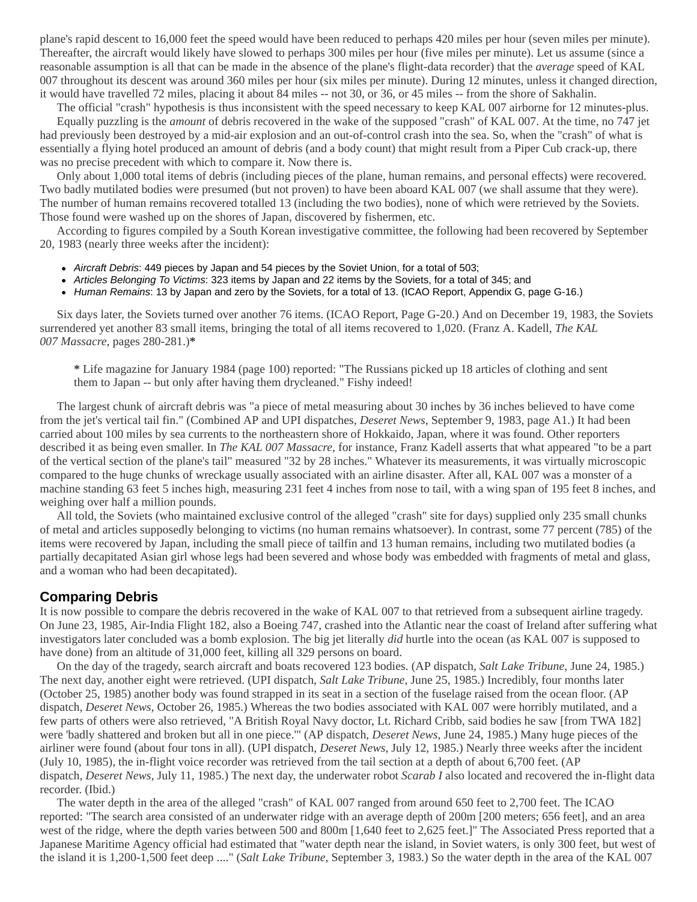plane's rapid descent to 16,000 feet the speed would have been reduced to perhaps 420 miles per hour (seven miles per minute). Thereafter, the aircraft would likely have slowed to perhaps 300 miles per hour (five miles per minute). Let us assume (since a reasonable assumption is all that can be made in the absence of the plane's flight-data recorder) that the *average* speed of KAL 007 throughout its descent was around 360 miles per hour (six miles per minute). During 12 minutes, unless it changed direction, it would have travelled 72 miles, placing it about 84 miles -- not 30, or 36, or 45 miles -- from the shore of Sakhalin.

The official "crash" hypothesis is thus inconsistent with the speed necessary to keep KAL 007 airborne for 12 minutes-plus. Equally puzzling is the *amount* of debris recovered in the wake of the supposed "crash" of KAL 007. At the time, no 747 jet had previously been destroyed by a mid-air explosion and an out-of-control crash into the sea. So, when the "crash" of what is essentially a flying hotel produced an amount of debris (and a body count) that might result from a Piper Cub crack-up, there was no precise precedent with which to compare it. Now there is.

Only about 1,000 total items of debris (including pieces of the plane, human remains, and personal effects) were recovered. Two badly mutilated bodies were presumed (but not proven) to have been aboard KAL 007 (we shall assume that they were). The number of human remains recovered totalled 13 (including the two bodies), none of which were retrieved by the Soviets. Those found were washed up on the shores of Japan, discovered by fishermen, etc.

According to figures compiled by a South Korean investigative committee, the following had been recovered by September 20, 1983 (nearly three weeks after the incident):

- *Aircraft Debris*: 449 pieces by Japan and 54 pieces by the Soviet Union, for a total of 503;
- *Articles Belonging To Victims*: 323 items by Japan and 22 items by the Soviets, for a total of 345; and
- *Human Remains*: 13 by Japan and zero by the Soviets, for a total of 13. (ICAO Report, Appendix G, page G-16.)

Six days later, the Soviets turned over another 76 items. (ICAO Report, Page G-20.) And on December 19, 1983, the Soviets surrendered yet another 83 small items, bringing the total of all items recovered to 1,020. (Franz A. Kadell, *The KAL 007 Massacre*, pages 280-281.)**\***

**\*** Life magazine for January 1984 (page 100) reported: "The Russians picked up 18 articles of clothing and sent them to Japan -- but only after having them drycleaned." Fishy indeed!

The largest chunk of aircraft debris was "a piece of metal measuring about 30 inches by 36 inches believed to have come from the jet's vertical tail fin." (Combined AP and UPI dispatches, *Deseret News*, September 9, 1983, page A1.) It had been carried about 100 miles by sea currents to the northeastern shore of Hokkaido, Japan, where it was found. Other reporters described it as being even smaller. In *The KAL 007 Massacre*, for instance, Franz Kadell asserts that what appeared "to be a part of the vertical section of the plane's tail" measured "32 by 28 inches." Whatever its measurements, it was virtually microscopic compared to the huge chunks of wreckage usually associated with an airline disaster. After all, KAL 007 was a monster of a machine standing 63 feet 5 inches high, measuring 231 feet 4 inches from nose to tail, with a wing span of 195 feet 8 inches, and weighing over half a million pounds.

All told, the Soviets (who maintained exclusive control of the alleged "crash" site for days) supplied only 235 small chunks of metal and articles supposedly belonging to victims (no human remains whatsoever). In contrast, some 77 percent (785) of the items were recovered by Japan, including the small piece of tailfin and 13 human remains, including two mutilated bodies (a partially decapitated Asian girl whose legs had been severed and whose body was embedded with fragments of metal and glass, and a woman who had been decapitated).

# **Comparing Debris**

It is now possible to compare the debris recovered in the wake of KAL 007 to that retrieved from a subsequent airline tragedy. On June 23, 1985, Air-India Flight 182, also a Boeing 747, crashed into the Atlantic near the coast of Ireland after suffering what investigators later concluded was a bomb explosion. The big jet literally *did* hurtle into the ocean (as KAL 007 is supposed to have done) from an altitude of 31,000 feet, killing all 329 persons on board.

On the day of the tragedy, search aircraft and boats recovered 123 bodies. (AP dispatch, *Salt Lake Tribune*, June 24, 1985.) The next day, another eight were retrieved. (UPI dispatch, *Salt Lake Tribune*, June 25, 1985.) Incredibly, four months later (October 25, 1985) another body was found strapped in its seat in a section of the fuselage raised from the ocean floor. (AP dispatch, *Deseret News*, October 26, 1985.) Whereas the two bodies associated with KAL 007 were horribly mutilated, and a few parts of others were also retrieved, "A British Royal Navy doctor, Lt. Richard Cribb, said bodies he saw [from TWA 182] were 'badly shattered and broken but all in one piece.'" (AP dispatch, *Deseret News*, June 24, 1985.) Many huge pieces of the airliner were found (about four tons in all). (UPI dispatch, *Deseret News*, July 12, 1985.) Nearly three weeks after the incident (July 10, 1985), the in-flight voice recorder was retrieved from the tail section at a depth of about 6,700 feet. (AP dispatch, *Deseret News*, July 11, 1985.) The next day, the underwater robot *Scarab I* also located and recovered the in-flight data recorder. (Ibid.)

The water depth in the area of the alleged "crash" of KAL 007 ranged from around 650 feet to 2,700 feet. The ICAO reported: "The search area consisted of an underwater ridge with an average depth of 200m [200 meters; 656 feet], and an area west of the ridge, where the depth varies between 500 and 800m [1,640 feet to 2,625 feet.]" The Associated Press reported that a Japanese Maritime Agency official had estimated that "water depth near the island, in Soviet waters, is only 300 feet, but west of the island it is 1,200-1,500 feet deep ...." (*Salt Lake Tribune*, September 3, 1983.) So the water depth in the area of the KAL 007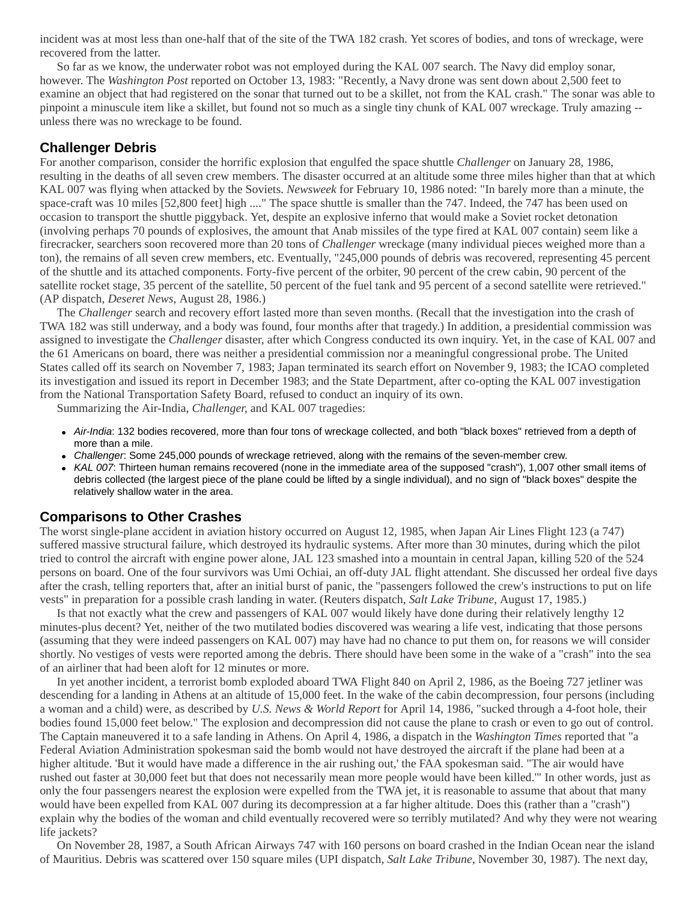incident was at most less than one-half that of the site of the TWA 182 crash. Yet scores of bodies, and tons of wreckage, were recovered from the latter.

So far as we know, the underwater robot was not employed during the KAL 007 search. The Navy did employ sonar, however. The *Washington Post* reported on October 13, 1983: "Recently, a Navy drone was sent down about 2,500 feet to examine an object that had registered on the sonar that turned out to be a skillet, not from the KAL crash." The sonar was able to pinpoint a minuscule item like a skillet, but found not so much as a single tiny chunk of KAL 007 wreckage. Truly amazing - unless there was no wreckage to be found.

# **Challenger Debris**

For another comparison, consider the horrific explosion that engulfed the space shuttle *Challenger* on January 28, 1986, resulting in the deaths of all seven crew members. The disaster occurred at an altitude some three miles higher than that at which KAL 007 was flying when attacked by the Soviets. *Newsweek* for February 10, 1986 noted: "In barely more than a minute, the space-craft was 10 miles [52,800 feet] high ...." The space shuttle is smaller than the 747. Indeed, the 747 has been used on occasion to transport the shuttle piggyback. Yet, despite an explosive inferno that would make a Soviet rocket detonation (involving perhaps 70 pounds of explosives, the amount that Anab missiles of the type fired at KAL 007 contain) seem like a firecracker, searchers soon recovered more than 20 tons of *Challenger* wreckage (many individual pieces weighed more than a ton), the remains of all seven crew members, etc. Eventually, "245,000 pounds of debris was recovered, representing 45 percent of the shuttle and its attached components. Forty-five percent of the orbiter, 90 percent of the crew cabin, 90 percent of the satellite rocket stage, 35 percent of the satellite, 50 percent of the fuel tank and 95 percent of a second satellite were retrieved." (AP dispatch, *Deseret News*, August 28, 1986.)

The *Challenger* search and recovery effort lasted more than seven months. (Recall that the investigation into the crash of TWA 182 was still underway, and a body was found, four months after that tragedy.) In addition, a presidential commission was assigned to investigate the *Challenger* disaster, after which Congress conducted its own inquiry. Yet, in the case of KAL 007 and the 61 Americans on board, there was neither a presidential commission nor a meaningful congressional probe. The United States called off its search on November 7, 1983; Japan terminated its search effort on November 9, 1983; the ICAO completed its investigation and issued its report in December 1983; and the State Department, after co-opting the KAL 007 investigation from the National Transportation Safety Board, refused to conduct an inquiry of its own.

Summarizing the Air-India, *Challenger,* and KAL 007 tragedies:

- *Air-India*: 132 bodies recovered, more than four tons of wreckage collected, and both "black boxes" retrieved from a depth of more than a mile.
- *Challenger*: Some 245,000 pounds of wreckage retrieved, along with the remains of the seven-member crew.
- *KAL 007*: Thirteen human remains recovered (none in the immediate area of the supposed "crash"), 1,007 other small items of debris collected (the largest piece of the plane could be lifted by a single individual), and no sign of "black boxes" despite the relatively shallow water in the area.

# **Comparisons to Other Crashes**

The worst single-plane accident in aviation history occurred on August 12, 1985, when Japan Air Lines Flight 123 (a 747) suffered massive structural failure, which destroyed its hydraulic systems. After more than 30 minutes, during which the pilot tried to control the aircraft with engine power alone, JAL 123 smashed into a mountain in central Japan, killing 520 of the 524 persons on board. One of the four survivors was Umi Ochiai, an off-duty JAL flight attendant. She discussed her ordeal five days after the crash, telling reporters that, after an initial burst of panic, the "passengers followed the crew's instructions to put on life vests" in preparation for a possible crash landing in water. (Reuters dispatch, *Salt Lake Tribune*, August 17, 1985.)

Is that not exactly what the crew and passengers of KAL 007 would likely have done during their relatively lengthy 12 minutes-plus decent? Yet, neither of the two mutilated bodies discovered was wearing a life vest, indicating that those persons (assuming that they were indeed passengers on KAL 007) may have had no chance to put them on, for reasons we will consider shortly. No vestiges of vests were reported among the debris. There should have been some in the wake of a "crash" into the sea of an airliner that had been aloft for 12 minutes or more.

In yet another incident, a terrorist bomb exploded aboard TWA Flight 840 on April 2, 1986, as the Boeing 727 jetliner was descending for a landing in Athens at an altitude of 15,000 feet. In the wake of the cabin decompression, four persons (including a woman and a child) were, as described by *U.S. News & World Report* for April 14, 1986, "sucked through a 4-foot hole, their bodies found 15,000 feet below." The explosion and decompression did not cause the plane to crash or even to go out of control. The Captain maneuvered it to a safe landing in Athens. On April 4, 1986, a dispatch in the *Washington Times* reported that "a Federal Aviation Administration spokesman said the bomb would not have destroyed the aircraft if the plane had been at a higher altitude. 'But it would have made a difference in the air rushing out,' the FAA spokesman said. "The air would have rushed out faster at 30,000 feet but that does not necessarily mean more people would have been killed.'" In other words, just as only the four passengers nearest the explosion were expelled from the TWA jet, it is reasonable to assume that about that many would have been expelled from KAL 007 during its decompression at a far higher altitude. Does this (rather than a "crash") explain why the bodies of the woman and child eventually recovered were so terribly mutilated? And why they were not wearing life jackets?

On November 28, 1987, a South African Airways 747 with 160 persons on board crashed in the Indian Ocean near the island of Mauritius. Debris was scattered over 150 square miles (UPI dispatch, *Salt Lake Tribune*, November 30, 1987). The next day,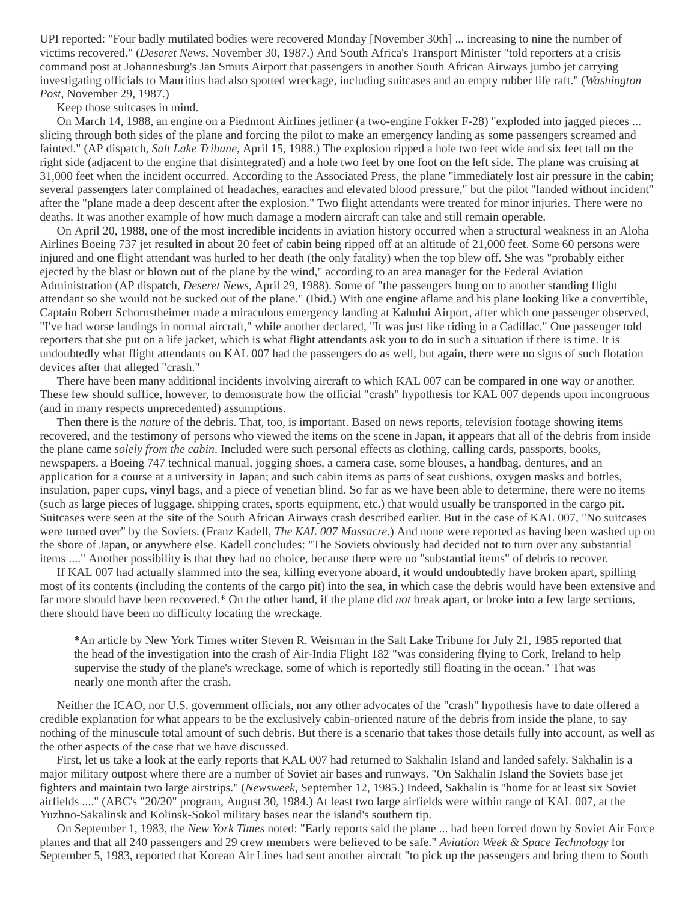UPI reported: "Four badly mutilated bodies were recovered Monday [November 30th] ... increasing to nine the number of victims recovered." (*Deseret News*, November 30, 1987.) And South Africa's Transport Minister "told reporters at a crisis command post at Johannesburg's Jan Smuts Airport that passengers in another South African Airways jumbo jet carrying investigating officials to Mauritius had also spotted wreckage, including suitcases and an empty rubber life raft." (*Washington Post*, November 29, 1987.)

Keep those suitcases in mind.

On March 14, 1988, an engine on a Piedmont Airlines jetliner (a two-engine Fokker F-28) "exploded into jagged pieces ... slicing through both sides of the plane and forcing the pilot to make an emergency landing as some passengers screamed and fainted." (AP dispatch, *Salt Lake Tribune*, April 15, 1988.) The explosion ripped a hole two feet wide and six feet tall on the right side (adjacent to the engine that disintegrated) and a hole two feet by one foot on the left side. The plane was cruising at 31,000 feet when the incident occurred. According to the Associated Press, the plane "immediately lost air pressure in the cabin; several passengers later complained of headaches, earaches and elevated blood pressure," but the pilot "landed without incident" after the "plane made a deep descent after the explosion." Two flight attendants were treated for minor injuries. There were no deaths. It was another example of how much damage a modern aircraft can take and still remain operable.

On April 20, 1988, one of the most incredible incidents in aviation history occurred when a structural weakness in an Aloha Airlines Boeing 737 jet resulted in about 20 feet of cabin being ripped off at an altitude of 21,000 feet. Some 60 persons were injured and one flight attendant was hurled to her death (the only fatality) when the top blew off. She was "probably either ejected by the blast or blown out of the plane by the wind," according to an area manager for the Federal Aviation Administration (AP dispatch, *Deseret News*, April 29, 1988). Some of "the passengers hung on to another standing flight attendant so she would not be sucked out of the plane." (Ibid.) With one engine aflame and his plane looking like a convertible, Captain Robert Schornstheimer made a miraculous emergency landing at Kahului Airport, after which one passenger observed, "I've had worse landings in normal aircraft," while another declared, "It was just like riding in a Cadillac." One passenger told reporters that she put on a life jacket, which is what flight attendants ask you to do in such a situation if there is time. It is undoubtedly what flight attendants on KAL 007 had the passengers do as well, but again, there were no signs of such flotation devices after that alleged "crash."

There have been many additional incidents involving aircraft to which KAL 007 can be compared in one way or another. These few should suffice, however, to demonstrate how the official "crash" hypothesis for KAL 007 depends upon incongruous (and in many respects unprecedented) assumptions.

Then there is the *nature* of the debris. That, too, is important. Based on news reports, television footage showing items recovered, and the testimony of persons who viewed the items on the scene in Japan, it appears that all of the debris from inside the plane came *solely from the cabin*. Included were such personal effects as clothing, calling cards, passports, books, newspapers, a Boeing 747 technical manual, jogging shoes, a camera case, some blouses, a handbag, dentures, and an application for a course at a university in Japan; and such cabin items as parts of seat cushions, oxygen masks and bottles, insulation, paper cups, vinyl bags, and a piece of venetian blind. So far as we have been able to determine, there were no items (such as large pieces of luggage, shipping crates, sports equipment, etc.) that would usually be transported in the cargo pit. Suitcases were seen at the site of the South African Airways crash described earlier. But in the case of KAL 007, "No suitcases were turned over" by the Soviets. (Franz Kadell, *The KAL 007 Massacre*.) And none were reported as having been washed up on the shore of Japan, or anywhere else. Kadell concludes: "The Soviets obviously had decided not to turn over any substantial items ...." Another possibility is that they had no choice, because there were no "substantial items" of debris to recover.

If KAL 007 had actually slammed into the sea, killing everyone aboard, it would undoubtedly have broken apart, spilling most of its contents (including the contents of the cargo pit) into the sea, in which case the debris would have been extensive and far more should have been recovered.\* On the other hand, if the plane did *not* break apart, or broke into a few large sections, there should have been no difficulty locating the wreckage.

**\***An article by New York Times writer Steven R. Weisman in the Salt Lake Tribune for July 21, 1985 reported that the head of the investigation into the crash of Air-India Flight 182 "was considering flying to Cork, Ireland to help supervise the study of the plane's wreckage, some of which is reportedly still floating in the ocean." That was nearly one month after the crash.

Neither the ICAO, nor U.S. government officials, nor any other advocates of the "crash" hypothesis have to date offered a credible explanation for what appears to be the exclusively cabin-oriented nature of the debris from inside the plane, to say nothing of the minuscule total amount of such debris. But there is a scenario that takes those details fully into account, as well as the other aspects of the case that we have discussed.

First, let us take a look at the early reports that KAL 007 had returned to Sakhalin Island and landed safely. Sakhalin is a major military outpost where there are a number of Soviet air bases and runways. "On Sakhalin Island the Soviets base jet fighters and maintain two large airstrips." (*Newsweek*, September 12, 1985.) Indeed, Sakhalin is "home for at least six Soviet airfields ...." (ABC's "20/20" program, August 30, 1984.) At least two large airfields were within range of KAL 007, at the Yuzhno-Sakalinsk and Kolinsk-Sokol military bases near the island's southern tip.

On September 1, 1983, the *New York Times* noted: "Early reports said the plane ... had been forced down by Soviet Air Force planes and that all 240 passengers and 29 crew members were believed to be safe." *Aviation Week & Space Technology* for September 5, 1983, reported that Korean Air Lines had sent another aircraft "to pick up the passengers and bring them to South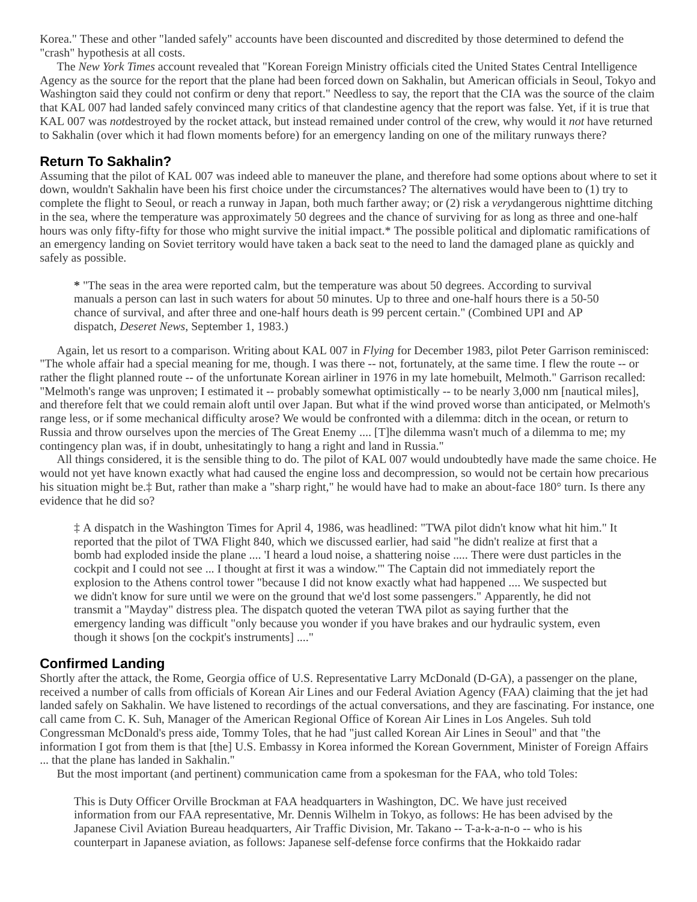Korea." These and other "landed safely" accounts have been discounted and discredited by those determined to defend the "crash" hypothesis at all costs.

The *New York Times* account revealed that "Korean Foreign Ministry officials cited the United States Central Intelligence Agency as the source for the report that the plane had been forced down on Sakhalin, but American officials in Seoul, Tokyo and Washington said they could not confirm or deny that report." Needless to say, the report that the CIA was the source of the claim that KAL 007 had landed safely convinced many critics of that clandestine agency that the report was false. Yet, if it is true that KAL 007 was *not*destroyed by the rocket attack, but instead remained under control of the crew, why would it *not* have returned to Sakhalin (over which it had flown moments before) for an emergency landing on one of the military runways there?

# **Return To Sakhalin?**

Assuming that the pilot of KAL 007 was indeed able to maneuver the plane, and therefore had some options about where to set it down, wouldn't Sakhalin have been his first choice under the circumstances? The alternatives would have been to (1) try to complete the flight to Seoul, or reach a runway in Japan, both much farther away; or (2) risk a *very*dangerous nighttime ditching in the sea, where the temperature was approximately 50 degrees and the chance of surviving for as long as three and one-half hours was only fifty-fifty for those who might survive the initial impact.\* The possible political and diplomatic ramifications of an emergency landing on Soviet territory would have taken a back seat to the need to land the damaged plane as quickly and safely as possible.

**\*** "The seas in the area were reported calm, but the temperature was about 50 degrees. According to survival manuals a person can last in such waters for about 50 minutes. Up to three and one-half hours there is a 50-50 chance of survival, and after three and one-half hours death is 99 percent certain." (Combined UPI and AP dispatch, *Deseret News*, September 1, 1983.)

Again, let us resort to a comparison. Writing about KAL 007 in *Flying* for December 1983, pilot Peter Garrison reminisced: "The whole affair had a special meaning for me, though. I was there -- not, fortunately, at the same time. I flew the route -- or rather the flight planned route -- of the unfortunate Korean airliner in 1976 in my late homebuilt, Melmoth." Garrison recalled: "Melmoth's range was unproven; I estimated it -- probably somewhat optimistically -- to be nearly 3,000 nm [nautical miles], and therefore felt that we could remain aloft until over Japan. But what if the wind proved worse than anticipated, or Melmoth's range less, or if some mechanical difficulty arose? We would be confronted with a dilemma: ditch in the ocean, or return to Russia and throw ourselves upon the mercies of The Great Enemy .... [T]he dilemma wasn't much of a dilemma to me; my contingency plan was, if in doubt, unhesitatingly to hang a right and land in Russia."

All things considered, it is the sensible thing to do. The pilot of KAL 007 would undoubtedly have made the same choice. He would not yet have known exactly what had caused the engine loss and decompression, so would not be certain how precarious his situation might be.‡ But, rather than make a "sharp right," he would have had to make an about-face 180° turn. Is there any evidence that he did so?

‡ A dispatch in the Washington Times for April 4, 1986, was headlined: "TWA pilot didn't know what hit him." It reported that the pilot of TWA Flight 840, which we discussed earlier, had said "he didn't realize at first that a bomb had exploded inside the plane .... 'I heard a loud noise, a shattering noise ..... There were dust particles in the cockpit and I could not see ... I thought at first it was a window.'" The Captain did not immediately report the explosion to the Athens control tower "because I did not know exactly what had happened .... We suspected but we didn't know for sure until we were on the ground that we'd lost some passengers." Apparently, he did not transmit a "Mayday" distress plea. The dispatch quoted the veteran TWA pilot as saying further that the emergency landing was difficult "only because you wonder if you have brakes and our hydraulic system, even though it shows [on the cockpit's instruments] ...."

# **Confirmed Landing**

Shortly after the attack, the Rome, Georgia office of U.S. Representative Larry McDonald (D-GA), a passenger on the plane, received a number of calls from officials of Korean Air Lines and our Federal Aviation Agency (FAA) claiming that the jet had landed safely on Sakhalin. We have listened to recordings of the actual conversations, and they are fascinating. For instance, one call came from C. K. Suh, Manager of the American Regional Office of Korean Air Lines in Los Angeles. Suh told Congressman McDonald's press aide, Tommy Toles, that he had "just called Korean Air Lines in Seoul" and that "the information I got from them is that [the] U.S. Embassy in Korea informed the Korean Government, Minister of Foreign Affairs ... that the plane has landed in Sakhalin."

But the most important (and pertinent) communication came from a spokesman for the FAA, who told Toles:

This is Duty Officer Orville Brockman at FAA headquarters in Washington, DC. We have just received information from our FAA representative, Mr. Dennis Wilhelm in Tokyo, as follows: He has been advised by the Japanese Civil Aviation Bureau headquarters, Air Traffic Division, Mr. Takano -- T-a-k-a-n-o -- who is his counterpart in Japanese aviation, as follows: Japanese self-defense force confirms that the Hokkaido radar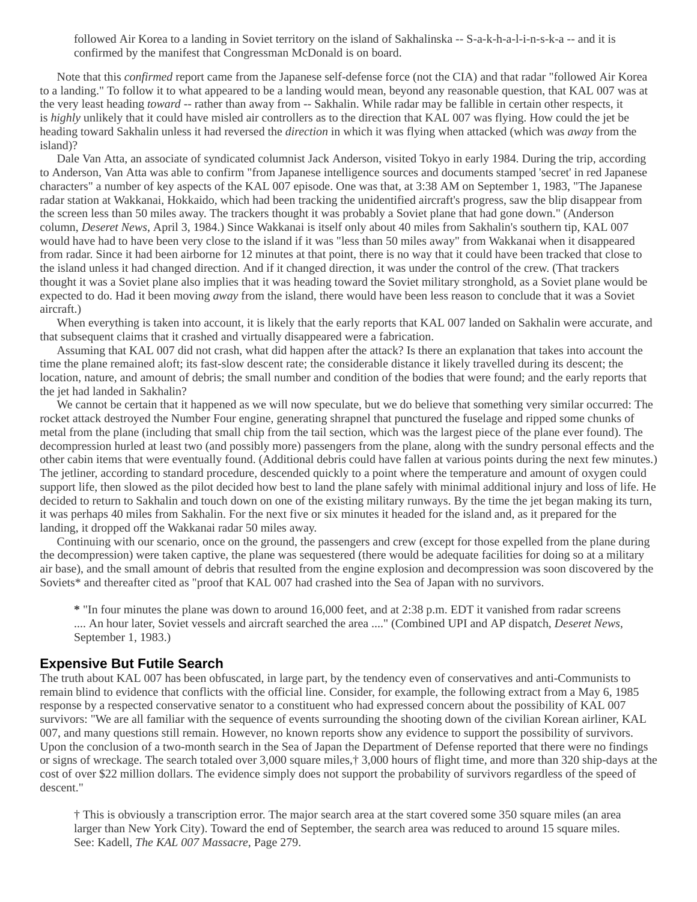followed Air Korea to a landing in Soviet territory on the island of Sakhalinska -- S-a-k-h-a-l-i-n-s-k-a -- and it is confirmed by the manifest that Congressman McDonald is on board.

Note that this *confirmed* report came from the Japanese self-defense force (not the CIA) and that radar "followed Air Korea to a landing." To follow it to what appeared to be a landing would mean, beyond any reasonable question, that KAL 007 was at the very least heading *toward* -- rather than away from -- Sakhalin. While radar may be fallible in certain other respects, it is *highly* unlikely that it could have misled air controllers as to the direction that KAL 007 was flying. How could the jet be heading toward Sakhalin unless it had reversed the *direction* in which it was flying when attacked (which was *away* from the island)?

Dale Van Atta, an associate of syndicated columnist Jack Anderson, visited Tokyo in early 1984. During the trip, according to Anderson, Van Atta was able to confirm "from Japanese intelligence sources and documents stamped 'secret' in red Japanese characters" a number of key aspects of the KAL 007 episode. One was that, at 3:38 AM on September 1, 1983, "The Japanese radar station at Wakkanai, Hokkaido, which had been tracking the unidentified aircraft's progress, saw the blip disappear from the screen less than 50 miles away. The trackers thought it was probably a Soviet plane that had gone down." (Anderson column, *Deseret News*, April 3, 1984.) Since Wakkanai is itself only about 40 miles from Sakhalin's southern tip, KAL 007 would have had to have been very close to the island if it was "less than 50 miles away" from Wakkanai when it disappeared from radar. Since it had been airborne for 12 minutes at that point, there is no way that it could have been tracked that close to the island unless it had changed direction. And if it changed direction, it was under the control of the crew. (That trackers thought it was a Soviet plane also implies that it was heading toward the Soviet military stronghold, as a Soviet plane would be expected to do. Had it been moving *away* from the island, there would have been less reason to conclude that it was a Soviet aircraft.)

When everything is taken into account, it is likely that the early reports that KAL 007 landed on Sakhalin were accurate, and that subsequent claims that it crashed and virtually disappeared were a fabrication.

Assuming that KAL 007 did not crash, what did happen after the attack? Is there an explanation that takes into account the time the plane remained aloft; its fast-slow descent rate; the considerable distance it likely travelled during its descent; the location, nature, and amount of debris; the small number and condition of the bodies that were found; and the early reports that the jet had landed in Sakhalin?

We cannot be certain that it happened as we will now speculate, but we do believe that something very similar occurred: The rocket attack destroyed the Number Four engine, generating shrapnel that punctured the fuselage and ripped some chunks of metal from the plane (including that small chip from the tail section, which was the largest piece of the plane ever found). The decompression hurled at least two (and possibly more) passengers from the plane, along with the sundry personal effects and the other cabin items that were eventually found. (Additional debris could have fallen at various points during the next few minutes.) The jetliner, according to standard procedure, descended quickly to a point where the temperature and amount of oxygen could support life, then slowed as the pilot decided how best to land the plane safely with minimal additional injury and loss of life. He decided to return to Sakhalin and touch down on one of the existing military runways. By the time the jet began making its turn, it was perhaps 40 miles from Sakhalin. For the next five or six minutes it headed for the island and, as it prepared for the landing, it dropped off the Wakkanai radar 50 miles away.

Continuing with our scenario, once on the ground, the passengers and crew (except for those expelled from the plane during the decompression) were taken captive, the plane was sequestered (there would be adequate facilities for doing so at a military air base), and the small amount of debris that resulted from the engine explosion and decompression was soon discovered by the Soviets\* and thereafter cited as "proof that KAL 007 had crashed into the Sea of Japan with no survivors.

**\*** "In four minutes the plane was down to around 16,000 feet, and at 2:38 p.m. EDT it vanished from radar screens .... An hour later, Soviet vessels and aircraft searched the area ...." (Combined UPI and AP dispatch, *Deseret News*, September 1, 1983.)

# **Expensive But Futile Search**

The truth about KAL 007 has been obfuscated, in large part, by the tendency even of conservatives and anti-Communists to remain blind to evidence that conflicts with the official line. Consider, for example, the following extract from a May 6, 1985 response by a respected conservative senator to a constituent who had expressed concern about the possibility of KAL 007 survivors: "We are all familiar with the sequence of events surrounding the shooting down of the civilian Korean airliner, KAL 007, and many questions still remain. However, no known reports show any evidence to support the possibility of survivors. Upon the conclusion of a two-month search in the Sea of Japan the Department of Defense reported that there were no findings or signs of wreckage. The search totaled over 3,000 square miles,† 3,000 hours of flight time, and more than 320 ship-days at the cost of over \$22 million dollars. The evidence simply does not support the probability of survivors regardless of the speed of descent."

† This is obviously a transcription error. The major search area at the start covered some 350 square miles (an area larger than New York City). Toward the end of September, the search area was reduced to around 15 square miles. See: Kadell, *The KAL 007 Massacre*, Page 279.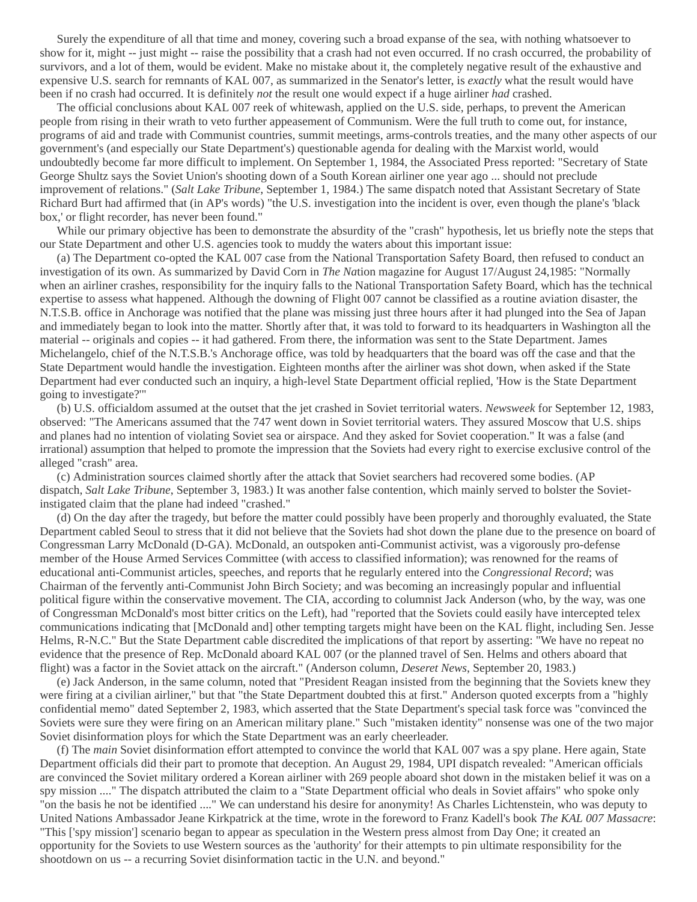Surely the expenditure of all that time and money, covering such a broad expanse of the sea, with nothing whatsoever to show for it, might -- just might -- raise the possibility that a crash had not even occurred. If no crash occurred, the probability of survivors, and a lot of them, would be evident. Make no mistake about it, the completely negative result of the exhaustive and expensive U.S. search for remnants of KAL 007, as summarized in the Senator's letter, is *exactly* what the result would have been if no crash had occurred. It is definitely *not* the result one would expect if a huge airliner *had* crashed.

The official conclusions about KAL 007 reek of whitewash, applied on the U.S. side, perhaps, to prevent the American people from rising in their wrath to veto further appeasement of Communism. Were the full truth to come out, for instance, programs of aid and trade with Communist countries, summit meetings, arms-controls treaties, and the many other aspects of our government's (and especially our State Department's) questionable agenda for dealing with the Marxist world, would undoubtedly become far more difficult to implement. On September 1, 1984, the Associated Press reported: "Secretary of State George Shultz says the Soviet Union's shooting down of a South Korean airliner one year ago ... should not preclude improvement of relations." (*Salt Lake Tribune*, September 1, 1984.) The same dispatch noted that Assistant Secretary of State Richard Burt had affirmed that (in AP's words) "the U.S. investigation into the incident is over, even though the plane's 'black box,' or flight recorder, has never been found."

While our primary objective has been to demonstrate the absurdity of the "crash" hypothesis, let us briefly note the steps that our State Department and other U.S. agencies took to muddy the waters about this important issue:

(a) The Department co-opted the KAL 007 case from the National Transportation Safety Board, then refused to conduct an investigation of its own. As summarized by David Corn in *The Na*tion magazine for August 17/August 24,1985: "Normally when an airliner crashes, responsibility for the inquiry falls to the National Transportation Safety Board, which has the technical expertise to assess what happened. Although the downing of Flight 007 cannot be classified as a routine aviation disaster, the N.T.S.B. office in Anchorage was notified that the plane was missing just three hours after it had plunged into the Sea of Japan and immediately began to look into the matter. Shortly after that, it was told to forward to its headquarters in Washington all the material -- originals and copies -- it had gathered. From there, the information was sent to the State Department. James Michelangelo, chief of the N.T.S.B.'s Anchorage office, was told by headquarters that the board was off the case and that the State Department would handle the investigation. Eighteen months after the airliner was shot down, when asked if the State Department had ever conducted such an inquiry, a high-level State Department official replied, 'How is the State Department going to investigate?'"

(b) U.S. officialdom assumed at the outset that the jet crashed in Soviet territorial waters. *Newsweek* for September 12, 1983, observed: "The Americans assumed that the 747 went down in Soviet territorial waters. They assured Moscow that U.S. ships and planes had no intention of violating Soviet sea or airspace. And they asked for Soviet cooperation." It was a false (and irrational) assumption that helped to promote the impression that the Soviets had every right to exercise exclusive control of the alleged "crash" area.

(c) Administration sources claimed shortly after the attack that Soviet searchers had recovered some bodies. (AP dispatch, *Salt Lake Tribune*, September 3, 1983.) It was another false contention, which mainly served to bolster the Sovietinstigated claim that the plane had indeed "crashed."

(d) On the day after the tragedy, but before the matter could possibly have been properly and thoroughly evaluated, the State Department cabled Seoul to stress that it did not believe that the Soviets had shot down the plane due to the presence on board of Congressman Larry McDonald (D-GA). McDonald, an outspoken anti-Communist activist, was a vigorously pro-defense member of the House Armed Services Committee (with access to classified information); was renowned for the reams of educational anti-Communist articles, speeches, and reports that he regularly entered into the *Congressional Record*; was Chairman of the fervently anti-Communist John Birch Society; and was becoming an increasingly popular and influential political figure within the conservative movement. The CIA, according to columnist Jack Anderson (who, by the way, was one of Congressman McDonald's most bitter critics on the Left), had "reported that the Soviets could easily have intercepted telex communications indicating that [McDonald and] other tempting targets might have been on the KAL flight, including Sen. Jesse Helms, R-N.C." But the State Department cable discredited the implications of that report by asserting: "We have no repeat no evidence that the presence of Rep. McDonald aboard KAL 007 (or the planned travel of Sen. Helms and others aboard that flight) was a factor in the Soviet attack on the aircraft." (Anderson column, *Deseret News*, September 20, 1983.)

(e) Jack Anderson, in the same column, noted that "President Reagan insisted from the beginning that the Soviets knew they were firing at a civilian airliner," but that "the State Department doubted this at first." Anderson quoted excerpts from a "highly confidential memo" dated September 2, 1983, which asserted that the State Department's special task force was "convinced the Soviets were sure they were firing on an American military plane." Such "mistaken identity" nonsense was one of the two major Soviet disinformation ploys for which the State Department was an early cheerleader.

(f) The *main* Soviet disinformation effort attempted to convince the world that KAL 007 was a spy plane. Here again, State Department officials did their part to promote that deception. An August 29, 1984, UPI dispatch revealed: "American officials are convinced the Soviet military ordered a Korean airliner with 269 people aboard shot down in the mistaken belief it was on a spy mission ...." The dispatch attributed the claim to a "State Department official who deals in Soviet affairs" who spoke only "on the basis he not be identified ...." We can understand his desire for anonymity! As Charles Lichtenstein, who was deputy to United Nations Ambassador Jeane Kirkpatrick at the time, wrote in the foreword to Franz Kadell's book *The KAL 007 Massacre*: "This ['spy mission'] scenario began to appear as speculation in the Western press almost from Day One; it created an opportunity for the Soviets to use Western sources as the 'authority' for their attempts to pin ultimate responsibility for the shootdown on us -- a recurring Soviet disinformation tactic in the U.N. and beyond."